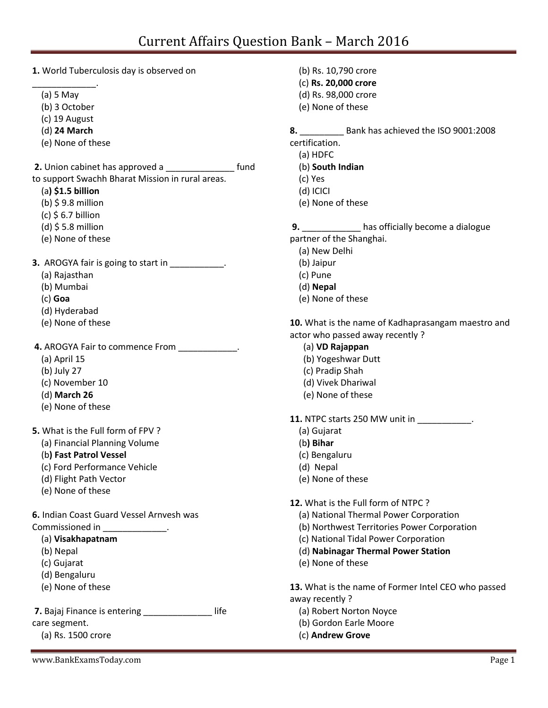**1.** World Tuberculosis day is observed on

- \_\_\_\_\_\_\_\_\_\_\_\_\_. (a) 5 May
	- (b) 3 October
	- (c) 19 August
	- (d) **24 March**
	- (e) None of these

**2.** Union cabinet has approved a \_\_\_\_\_\_\_\_\_\_\_\_\_\_ fund to support Swachh Bharat Mission in rural areas.

- (a**) \$1.5 billion**
- (b) \$ 9.8 million
- $(c)$  \$ 6.7 billion
- (d) \$ 5.8 million
- (e) None of these

**3.** AROGYA fair is going to start in \_\_\_\_\_\_\_\_\_\_\_.

- (a) Rajasthan
- (b) Mumbai
- (c) **Goa**
- (d) Hyderabad
- (e) None of these

**4.** AROGYA Fair to commence From \_\_\_\_\_\_\_\_\_\_\_\_.

- (a) April 15
- (b) July 27
- (c) November 10
- (d) **March 26**
- (e) None of these
- **5.** What is the Full form of FPV ?
	- (a) Financial Planning Volume
	- (b**) Fast Patrol Vessel**
	- (c) Ford Performance Vehicle
	- (d) Flight Path Vector
	- (e) None of these

**6.** Indian Coast Guard Vessel Arnvesh was Commissioned in \_\_\_\_\_\_\_\_\_\_\_\_\_.

- (a) **Visakhapatnam**
- (b) Nepal
- (c) Gujarat
- (d) Bengaluru
- (e) None of these

**7.** Bajaj Finance is entering \_\_\_\_\_\_\_\_\_\_\_\_\_\_ life

care segment.

(a) Rs. 1500 crore

(b) Rs. 10,790 crore (c) **Rs. 20,000 crore** (d) Rs. 98,000 crore (e) None of these

**8.** Bank has achieved the ISO 9001:2008 certification.

- (a) HDFC
- (b) **South Indian**
- (c) Yes
- (d) ICICI
- (e) None of these

**9.** \_\_\_\_\_\_\_\_\_\_\_\_ has officially become a dialogue partner of the Shanghai.

- (a) New Delhi
- (b) Jaipur
- (c) Pune
- (d) **Nepal**
- (e) None of these

**10.** What is the name of Kadhaprasangam maestro and actor who passed away recently ?

- (a) **VD Rajappan**
- (b) Yogeshwar Dutt
- (c) Pradip Shah
- (d) Vivek Dhariwal
- (e) None of these
- **11.** NTPC starts 250 MW unit in  $\qquad \qquad$ 
	- (a) Gujarat
	- (b**) Bihar**
	- (c) Bengaluru
	- (d) Nepal
	- (e) None of these

**12.** What is the Full form of NTPC ?

- (a) National Thermal Power Corporation
- (b) Northwest Territories Power Corporation
- (c) National Tidal Power Corporation
- (d) **Nabinagar Thermal Power Station**
- (e) None of these

**13.** What is the name of Former Intel CEO who passed away recently ?

- (a) Robert Norton Noyce
- (b) Gordon Earle Moore
- (c) **Andrew Grove**

www.BankExamsToday.com Page 1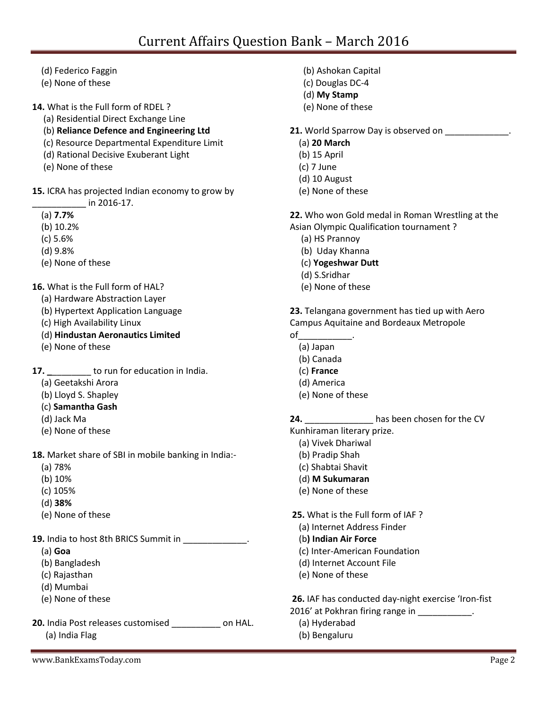- (d) Federico Faggin
- (e) None of these

**14.** What is the Full form of RDEL ?

- (a) Residential Direct Exchange Line
- (b) **Reliance Defence and Engineering Ltd**
- (c) Resource Departmental Expenditure Limit
- (d) Rational Decisive Exuberant Light
- (e) None of these

**15.** ICRA has projected Indian economy to grow by \_\_\_\_\_\_\_\_\_\_\_ in 2016-17.

- (a) **7.7%**
- (b) 10.2%
- (c) 5.6%
- (d) 9.8%
- (e) None of these

**16.** What is the Full form of HAL?

- (a) Hardware Abstraction Layer
- (b) Hypertext Application Language
- (c) High Availability Linux
- (d) **Hindustan Aeronautics Limited**
- (e) None of these

**17. 17. to run for education in India.** 

- (a) Geetakshi Arora
- (b) Lloyd S. Shapley
- (c) **Samantha Gash**
- (d) Jack Ma
- (e) None of these
- **18.** Market share of SBI in mobile banking in India:-
	- (a) 78%
	- (b) 10%
	- (c) 105%
	- (d) **38%**
	- (e) None of these

**19.** India to host 8th BRICS Summit in \_\_\_\_\_\_\_\_\_\_\_\_\_.

- (a) **Goa**
- (b) Bangladesh
- (c) Rajasthan
- (d) Mumbai
- (e) None of these
- **20.** India Post releases customised \_\_\_\_\_\_\_\_\_\_ on HAL. (a) India Flag
- (b) Ashokan Capital
- (c) Douglas DC-4
- (d) **My Stamp**
- (e) None of these
- **21.** World Sparrow Day is observed on
	- (a) **20 March**
	- (b) 15 April
	- (c) 7 June
	- (d) 10 August
	- (e) None of these

**22.** Who won Gold medal in Roman Wrestling at the Asian Olympic Qualification tournament ?

- (a) HS Prannoy
- (b) Uday Khanna
- (c) **Yogeshwar Dutt**
- (d) S.Sridhar
- (e) None of these

**23.** Telangana government has tied up with Aero Campus Aquitaine and Bordeaux Metropole

- $\mathsf{of}$ 
	- (a) Japan
	- (b) Canada
	- (c) **France**
	- (d) America
	- (e) None of these

**24.** \_\_\_\_\_\_\_\_\_\_\_\_\_\_ has been chosen for the CV

Kunhiraman literary prize.

- (a) Vivek Dhariwal
- (b) Pradip Shah
- (c) Shabtai Shavit
- (d) **M Sukumaran**
- (e) None of these

**25.** What is the Full form of IAF ?

- (a) Internet Address Finder
- (b**) Indian Air Force**
- (c) Inter-American Foundation
- (d) Internet Account File
- (e) None of these

**26.** IAF has conducted day-night exercise 'Iron-fist

- 2016' at Pokhran firing range in \_\_\_\_\_\_\_\_\_\_\_.
	- (a) Hyderabad
	- (b) Bengaluru

www.BankExamsToday.com Page 2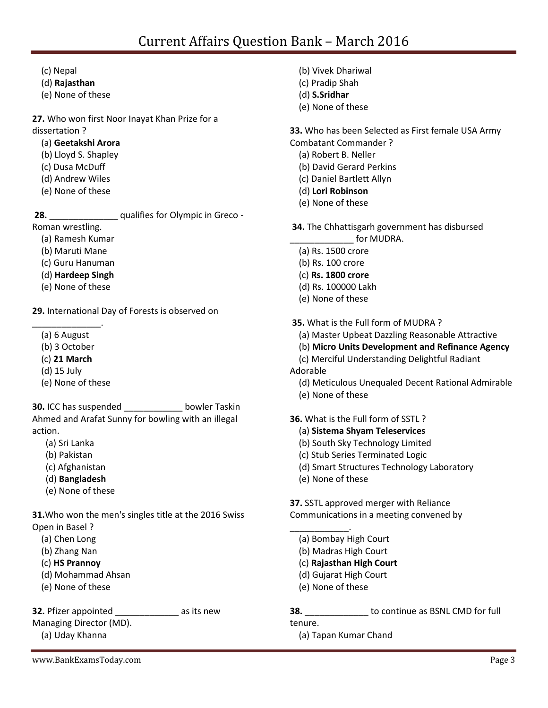- (c) Nepal
- (d) **Rajasthan**
- (e) None of these

### **27.** Who won first Noor Inayat Khan Prize for a dissertation ?

- (a) **Geetakshi Arora**
- (b) Lloyd S. Shapley
- (c) Dusa McDuff
- (d) Andrew Wiles
- (e) None of these

**28.** \_\_\_\_\_\_\_\_\_\_\_\_\_\_ qualifies for Olympic in Greco -

Roman wrestling.

- (a) Ramesh Kumar
- (b) Maruti Mane
- (c) Guru Hanuman
- (d) **Hardeep Singh**
- (e) None of these

**29.** International Day of Forests is observed on

- \_\_\_\_\_\_\_\_\_\_\_\_\_\_. (a) 6 August
	- (b) 3 October
	- (c) **21 March**
	- (d) 15 July
	- (e) None of these

**30.** ICC has suspended \_\_\_\_\_\_\_\_\_\_\_\_ bowler Taskin Ahmed and Arafat Sunny for bowling with an illegal action.

- (a) Sri Lanka
- (b) Pakistan
- (c) Afghanistan
- (d) **Bangladesh**
- (e) None of these

**31.**Who won the men's singles title at the 2016 Swiss Open in Basel ?

- (a) Chen Long
- (b) Zhang Nan
- (c) **HS Prannoy**
- (d) Mohammad Ahsan
- (e) None of these

# **32.** Pfizer appointed as its new

Managing Director (MD).

(a) Uday Khanna

- (b) Vivek Dhariwal
- (c) Pradip Shah
- (d) **S.Sridhar**
- (e) None of these

**33.** Who has been Selected as First female USA Army

- Combatant Commander ?
	- (a) Robert B. Neller
	- (b) David Gerard Perkins
	- (c) Daniel Bartlett Allyn
	- (d) **Lori Robinson**
	- (e) None of these

**34.** The Chhattisgarh government has disbursed  $\epsilon$  for MUDRA.

- (a) Rs. 1500 crore
- (b) Rs. 100 crore
- (c) **Rs. 1800 crore**
- (d) Rs. 100000 Lakh
- (e) None of these
- **35.** What is the Full form of MUDRA ?
	- (a) Master Upbeat Dazzling Reasonable Attractive
	- (b) **Micro Units Development and Refinance Agency**
	- (c) Merciful Understanding Delightful Radiant
- Adorable
	- (d) Meticulous Unequaled Decent Rational Admirable
	- (e) None of these

**36.** What is the Full form of SSTL ?

- (a) **Sistema Shyam Teleservices**
- (b) South Sky Technology Limited
- (c) Stub Series Terminated Logic
- (d) Smart Structures Technology Laboratory
- (e) None of these

**37.** SSTL approved merger with Reliance Communications in a meeting convened by

- \_\_\_\_\_\_\_\_\_\_\_\_. (a) Bombay High Court
	- (b) Madras High Court
	- (c) **Rajasthan High Court**
	- (d) Gujarat High Court
	- (e) None of these

**38.** \_\_\_\_\_\_\_\_\_\_\_\_\_ to continue as BSNL CMD for full tenure.

(a) Tapan Kumar Chand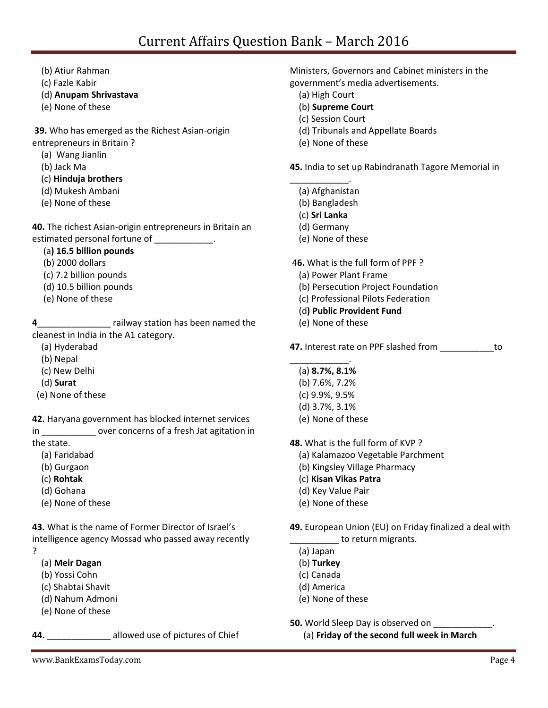- (b) Atiur Rahman
- (c) Fazle Kabir
- (d) **Anupam Shrivastava**
- (e) None of these

**39.** Who has emerged as the Richest Asian-origin entrepreneurs in Britain ?

- (a) Wang Jianlin
- (b) Jack Ma
- (c) **Hinduja brothers**
- (d) Mukesh Ambani
- (e) None of these

**40.** The richest Asian-origin entrepreneurs in Britain an estimated personal fortune of \_\_\_\_\_\_\_\_\_\_\_\_.

- (a**) 16.5 billion pounds**
- (b) 2000 dollars
- (c) 7.2 billion pounds
- (d) 10.5 billion pounds
- (e) None of these

**4**\_\_\_\_\_\_\_\_\_\_\_\_\_\_\_ railway station has been named the cleanest in India in the A1 category.

- (a) Hyderabad
- (b) Nepal
- (c) New Delhi
- (d) **Surat**
- (e) None of these

**42.** Haryana government has blocked internet services

in \_\_\_\_\_\_\_\_\_\_\_ over concerns of a fresh Jat agitation in the state.

- (a) Faridabad
- (b) Gurgaon
- (c) **Rohtak**
- (d) Gohana
- (e) None of these

**43.** What is the name of Former Director of Israel's intelligence agency Mossad who passed away recently ?

- (a) **Meir Dagan**
- (b) Yossi Cohn
- (c) Shabtai Shavit
- (d) Nahum Admoni
- (e) None of these

**44.** \_\_\_\_\_\_\_\_\_\_\_\_\_ allowed use of pictures of Chief

Ministers, Governors and Cabinet ministers in the government's media advertisements.

- (a) High Court
- (b) **Supreme Court**
- (c) Session Court
- (d) Tribunals and Appellate Boards
- (e) None of these

**45.** India to set up Rabindranath Tagore Memorial in

- \_\_\_\_\_\_\_\_\_\_\_\_. (a) Afghanistan
	- (b) Bangladesh
	- (c) **Sri Lanka**
	- (d) Germany
	- (e) None of these
- 4**6.** What is the full form of PPF ?
	- (a) Power Plant Frame
	- (b) Persecution Project Foundation
	- (c) Professional Pilots Federation
	- (d**) Public Provident Fund**
	- (e) None of these

**47.** Interest rate on PPF slashed from \_\_\_\_\_\_\_\_\_\_\_to

- \_\_\_\_\_\_\_\_\_\_\_\_. (a) **8.7%, 8.1%**
	- (b) 7.6%, 7.2%
	- (c) 9.9%, 9.5%
	- (d) 3.7%, 3.1%
	- (e) None of these

**48.** What is the full form of KVP ?

- (a) Kalamazoo Vegetable Parchment
- (b) Kingsley Village Pharmacy
- (c) **Kisan Vikas Patra**
- (d) Key Value Pair
- (e) None of these
- **49.** European Union (EU) on Friday finalized a deal with **way** to return migrants.
	- (a) Japan
	- (b) **Turkey**
	- (c) Canada
	- (d) America
	- (e) None of these
- **50.** World Sleep Day is observed on
	- (a) **Friday of the second full week in March**

www.BankExamsToday.com Page 4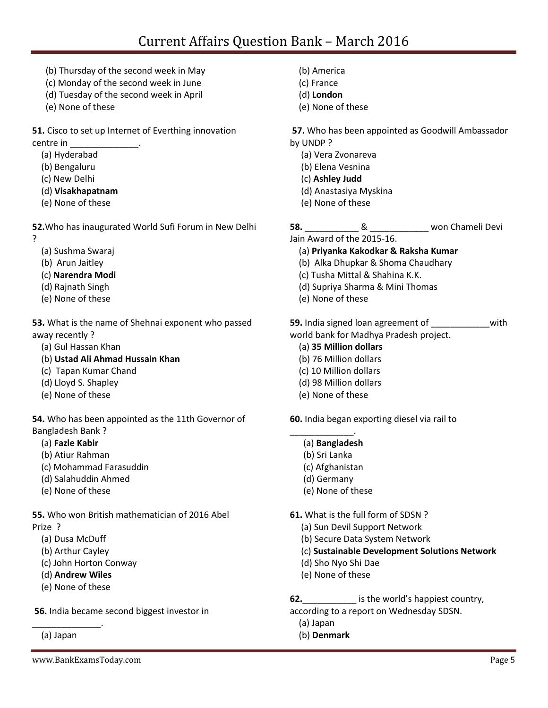- (b) Thursday of the second week in May
- (c) Monday of the second week in June
- (d) Tuesday of the second week in April
- (e) None of these

**51.** Cisco to set up Internet of Everthing innovation centre in \_\_\_\_\_\_\_\_\_\_\_\_\_\_.

- (a) Hyderabad
- (b) Bengaluru
- (c) New Delhi
- (d) **Visakhapatnam**
- (e) None of these

**52.**Who has inaugurated World Sufi Forum in New Delhi ?

- (a) Sushma Swaraj
- (b) Arun Jaitley
- (c) **Narendra Modi**
- (d) Rajnath Singh
- (e) None of these

**53.** What is the name of Shehnai exponent who passed away recently ?

- (a) Gul Hassan Khan
- (b) **Ustad Ali Ahmad Hussain Khan**
- (c) Tapan Kumar Chand
- (d) Lloyd S. Shapley
- (e) None of these

**54.** Who has been appointed as the 11th Governor of Bangladesh Bank ?

- (a) **Fazle Kabir**
- (b) Atiur Rahman
- (c) Mohammad Farasuddin
- (d) Salahuddin Ahmed
- (e) None of these

**55.** Who won British mathematician of 2016 Abel Prize ?

- (a) Dusa McDuff
- (b) Arthur Cayley
- (c) John Horton Conway
- (d) **Andrew Wiles**
- (e) None of these

\_\_\_\_\_\_\_\_\_\_\_\_\_\_.

**56.** India became second biggest investor in

(a) Japan

- (b) America
- (c) France
- (d) **London**
- (e) None of these

**57.** Who has been appointed as Goodwill Ambassador by UNDP ?

- (a) Vera Zvonareva
- (b) Elena Vesnina
- (c) **Ashley Judd**
- (d) Anastasiya Myskina
- (e) None of these

**58.** \_\_\_\_\_\_\_\_\_\_\_ & \_\_\_\_\_\_\_\_\_\_\_\_ won Chameli Devi

Jain Award of the 2015-16.

- (a) **Priyanka Kakodkar & Raksha Kumar**
- (b) Alka Dhupkar & Shoma Chaudhary
- (c) Tusha Mittal & Shahina K.K.
- (d) Supriya Sharma & Mini Thomas
- (e) None of these

**59.** India signed loan agreement of **with** world bank for Madhya Pradesh project.

### (a) **35 Million dollars**

- (b) 76 Million dollars
- (c) 10 Million dollars
- (d) 98 Million dollars
- (e) None of these

**60.** India began exporting diesel via rail to

- \_\_\_\_\_\_\_\_\_\_\_\_\_. (a) **Bangladesh**
	- (b) Sri Lanka
	- (c) Afghanistan
	- (d) Germany
	- (e) None of these

**61.** What is the full form of SDSN ?

- (a) Sun Devil Support Network
- (b) Secure Data System Network
- (c) **Sustainable Development Solutions Network**
- (d) Sho Nyo Shi Dae
- (e) None of these

**62.**\_\_\_\_\_\_\_\_\_\_\_ is the world's happiest country, according to a report on Wednesday SDSN.

- (a) Japan
- (b) **Denmark**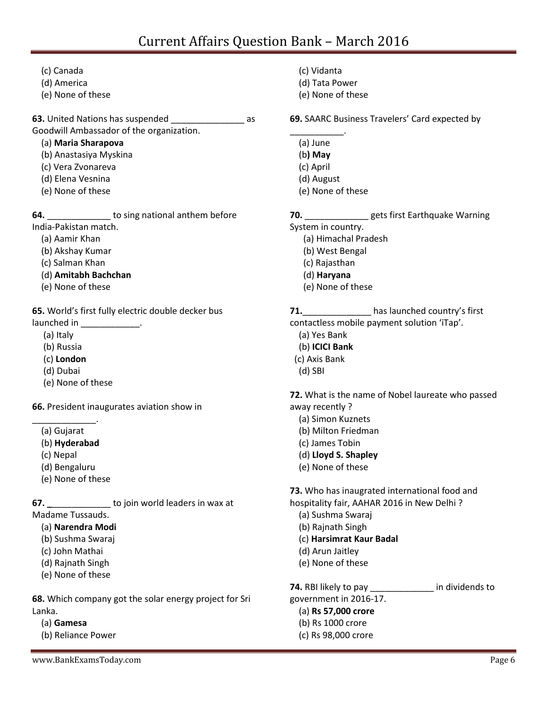(c) Canada (d) America (e) None of these **63.** United Nations has suspended \_\_\_\_\_\_\_\_\_\_\_\_\_\_\_ as Goodwill Ambassador of the organization. (a) **Maria Sharapova** (b) Anastasiya Myskina (c) Vera Zvonareva (d) Elena Vesnina (e) None of these **64. b** to sing national anthem before India-Pakistan match. (a) Aamir Khan (b) Akshay Kumar (c) Salman Khan (d) **Amitabh Bachchan** (e) None of these **65.** World's first fully electric double decker bus launched in \_\_\_\_\_\_\_\_\_\_\_\_\_\_. (a) Italy

- (b) Russia
- (c) **London**
- (d) Dubai
- (e) None of these

**66.** President inaugurates aviation show in

- (a) Gujarat
- (b) **Hyderabad**

\_\_\_\_\_\_\_\_\_\_\_\_\_.

- (c) Nepal
- (d) Bengaluru
- (e) None of these

**67. b** to join world leaders in wax at

- Madame Tussauds.
	- (a) **Narendra Modi**
	- (b) Sushma Swaraj
	- (c) John Mathai
	- (d) Rajnath Singh
	- (e) None of these

**68.** Which company got the solar energy project for Sri Lanka.

- (a) **Gamesa**
- (b) Reliance Power
- (c) Vidanta
- (d) Tata Power
- (e) None of these
- **69.** SAARC Business Travelers' Card expected by
- \_\_\_\_\_\_\_\_\_\_\_. (a) June
	- (b**) May**
	- (c) April
	- (d) August
	- (e) None of these

# **70.** \_\_\_\_\_\_\_\_\_\_\_\_\_ gets first Earthquake Warning

System in country.

- (a) Himachal Pradesh
- (b) West Bengal
- (c) Rajasthan
- (d) **Haryana**
- (e) None of these

# **71.**\_\_\_\_\_\_\_\_\_\_\_\_\_\_ has launched country's first

contactless mobile payment solution 'iTap'.

- (a) Yes Bank
- (b) **ICICI Bank**
- (c) Axis Bank
- (d) SBI

**72.** What is the name of Nobel laureate who passed away recently ?

- (a) Simon Kuznets
- (b) Milton Friedman
- (c) James Tobin
- (d) **Lloyd S. Shapley**
- (e) None of these

**73.** Who has inaugrated international food and hospitality fair, AAHAR 2016 in New Delhi ?

- (a) Sushma Swaraj
- (b) Rajnath Singh
- (c) **Harsimrat Kaur Badal**
- (d) Arun Jaitley
- (e) None of these

**74.** RBI likely to pay \_\_\_\_\_\_\_\_\_\_\_\_\_ in dividends to government in 2016-17. (a) **Rs 57,000 crore**

- (b) Rs 1000 crore
- (c) Rs 98,000 crore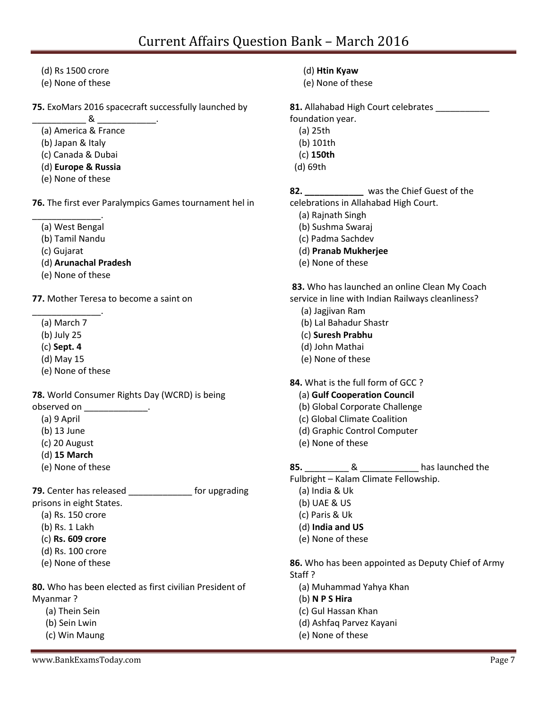- (d) Rs 1500 crore
- (e) None of these
- **75.** ExoMars 2016 spacecraft successfully launched by

 $\sim$   $\sim$   $\sim$   $\sim$   $\sim$ (a) America & France

- (b) Japan & Italy
- (c) Canada & Dubai
- (d) **Europe & Russia**
- (e) None of these

**76.** The first ever Paralympics Games tournament hel in

\_\_\_\_\_\_\_\_\_\_\_\_\_\_. (a) West Bengal

- (b) Tamil Nandu
- (c) Gujarat
- (d) **Arunachal Pradesh**
- (e) None of these

**77.** Mother Teresa to become a saint on

- \_\_\_\_\_\_\_\_\_\_\_\_\_\_. (a) March 7
	- (b) July 25
	- (c) **Sept. 4**
	- (d) May 15
	- (e) None of these

**78.** World Consumer Rights Day (WCRD) is being observed on \_\_\_\_\_\_\_\_\_\_\_\_\_\_.

- (a) 9 April
- (b) 13 June
- (c) 20 August
- (d) **15 March**
- (e) None of these

**79.** Center has released \_\_\_\_\_\_\_\_\_\_\_\_\_ for upgrading prisons in eight States.

- (a) Rs. 150 crore
- (b) Rs. 1 Lakh
- (c) **Rs. 609 crore**
- (d) Rs. 100 crore
- (e) None of these

**80.** Who has been elected as first civilian President of Myanmar ?

- (a) Thein Sein
- (b) Sein Lwin
- (c) Win Maung
- www.BankExamsToday.com Page 7
- (d) **Htin Kyaw**
- (e) None of these

81. Allahabad High Court celebrates

foundation year.

- (a) 25th
- (b) 101th
- (c) **150th**
- (d) 69th

**82. \_\_\_\_\_\_\_\_\_\_\_\_** was the Chief Guest of the celebrations in Allahabad High Court.

- (a) Rajnath Singh
- (b) Sushma Swaraj
- (c) Padma Sachdev
- (d) **Pranab Mukherjee**
- (e) None of these

**83.** Who has launched an online Clean My Coach service in line with Indian Railways cleanliness?

- (a) Jagjivan Ram
- (b) Lal Bahadur Shastr
- (c) **Suresh Prabhu**
- (d) John Mathai
- (e) None of these

**84.** What is the full form of GCC ?

### (a) **Gulf Cooperation Council**

- (b) Global Corporate Challenge
- (c) Global Climate Coalition
- (d) Graphic Control Computer
- (e) None of these

### **85.** \_\_\_\_\_\_\_\_\_ & \_\_\_\_\_\_\_\_\_\_\_\_ has launched the

Fulbright – Kalam Climate Fellowship.

- (a) India & Uk
- (b) UAE & US
- (c) Paris & Uk
- (d) **India and US**
- (e) None of these

**86.** Who has been appointed as Deputy Chief of Army Staff ?

- (a) Muhammad Yahya Khan
- (b) **N P S Hira**
- (c) Gul Hassan Khan
- (d) Ashfaq Parvez Kayani
- (e) None of these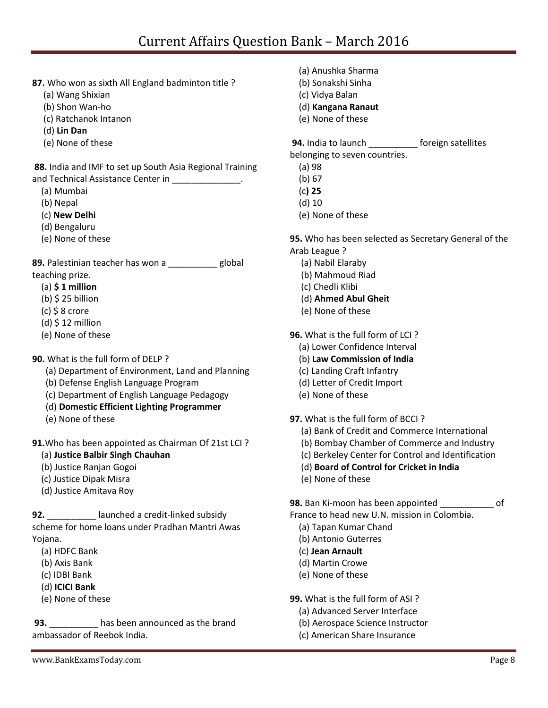- **87.** Who won as sixth All England badminton title ?
	- (a) Wang Shixian
	- (b) Shon Wan-ho
	- (c) Ratchanok Intanon
	- (d) **Lin Dan**
	- (e) None of these

**88.** India and IMF to set up South Asia Regional Training and Technical Assistance Center in

- (a) Mumbai
- (b) Nepal
- (c) **New Delhi**
- (d) Bengaluru
- (e) None of these

**89.** Palestinian teacher has won a \_\_\_\_\_\_\_\_\_\_ global teaching prize.

- (a) **\$ 1 million**
- $(b)$  \$ 25 billion
- $(c)$  \$ 8 crore
- $(d)$  \$ 12 million
- (e) None of these

### **90.** What is the full form of DELP ?

- (a) Department of Environment, Land and Planning
- (b) Defense English Language Program
- (c) Department of English Language Pedagogy
- (d) **Domestic Efficient Lighting Programmer**
- (e) None of these

**91.**Who has been appointed as Chairman Of 21st LCI ?

- (a) **Justice Balbir Singh Chauhan**
- (b) Justice Ranjan Gogoi
- (c) Justice Dipak Misra
- (d) Justice Amitava Roy

**92.** \_\_\_\_\_\_\_\_\_\_ launched a credit-linked subsidy scheme for home loans under Pradhan Mantri Awas Yojana.

- (a) HDFC Bank
- (b) Axis Bank
- (c) IDBI Bank
- (d) **ICICI Bank**
- (e) None of these

**93.** \_\_\_\_\_\_\_\_\_\_ has been announced as the brand ambassador of Reebok India.

- (a) Anushka Sharma
- (b) Sonakshi Sinha
- (c) Vidya Balan
- (d) **Kangana Ranaut**
- (e) None of these

**94.** India to launch **the interest of the same foreign satellites** belonging to seven countries.

- (a) 98
- (b) 67
- (c**) 25**
- (d) 10
- (e) None of these

**95.** Who has been selected as Secretary General of the Arab League ?

- (a) Nabil Elaraby
- (b) Mahmoud Riad
- (c) Chedli Klibi
- (d) **Ahmed Abul Gheit**
- (e) None of these

**96.** What is the full form of LCI ?

- (a) Lower Confidence Interval
- (b) **Law Commission of India**
- (c) Landing Craft Infantry
- (d) Letter of Credit Import
- (e) None of these
- **97.** What is the full form of BCCI ?
	- (a) Bank of Credit and Commerce International
	- (b) Bombay Chamber of Commerce and Industry
	- (c) Berkeley Center for Control and Identification
	- (d) **Board of Control for Cricket in India**
	- (e) None of these

**98.** Ban Ki-moon has been appointed \_\_\_\_\_\_\_\_\_\_\_ of

France to head new U.N. mission in Colombia.

- (a) Tapan Kumar Chand
- (b) Antonio Guterres
- (c) **Jean Arnault**
- (d) Martin Crowe
- (e) None of these

**99.** What is the full form of ASI ?

- (a) Advanced Server Interface
- (b) Aerospace Science Instructor
- (c) American Share Insurance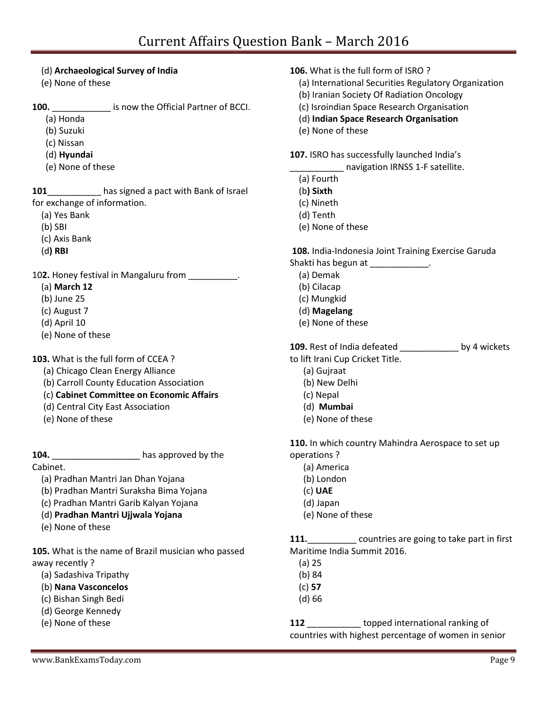### (d) **Archaeological Survey of India**

(e) None of these

**100.** \_\_\_\_\_\_\_\_\_\_\_\_ is now the Official Partner of BCCI.

- (a) Honda
- (b) Suzuki
- (c) Nissan
- (d) **Hyundai**
- (e) None of these

**101**\_\_\_\_\_\_\_\_\_\_\_ has signed a pact with Bank of Israel for exchange of information.

- (a) Yes Bank
- (b) SBI
- (c) Axis Bank
- (d**) RBI**

10**2.** Honey festival in Mangaluru from \_\_\_\_\_\_\_\_\_\_.

- (a) **March 12**
- (b) June 25
- (c) August 7
- (d) April 10
- (e) None of these

**103.** What is the full form of CCEA ?

- (a) Chicago Clean Energy Alliance
- (b) Carroll County Education Association
- (c) **Cabinet Committee on Economic Affairs**
- (d) Central City East Association
- (e) None of these

Cabinet.

**104.** \_\_\_\_\_\_\_\_\_\_\_\_\_\_\_\_\_\_ has approved by the

- (a) Pradhan Mantri Jan Dhan Yojana
- (b) Pradhan Mantri Suraksha Bima Yojana
- (c) Pradhan Mantri Garib Kalyan Yojana
- (d) **Pradhan Mantri Ujjwala Yojana**
- (e) None of these

**105.** What is the name of Brazil musician who passed away recently ?

- (a) Sadashiva Tripathy
- (b) **Nana Vasconcelos**
- (c) Bishan Singh Bedi
- (d) George Kennedy
- (e) None of these
- **106.** What is the full form of ISRO ?
	- (a) International Securities Regulatory Organization
	- (b) Iranian Society Of Radiation Oncology
	- (c) Isroindian Space Research Organisation
	- (d) **Indian Space Research Organisation**
	- (e) None of these

**107.** ISRO has successfully launched India's

\_\_\_\_\_\_\_\_\_\_\_ navigation IRNSS 1-F satellite.

- (a) Fourth
- (b**) Sixth**
- (c) Nineth
- (d) Tenth
- (e) None of these

**108.** India-Indonesia Joint Training Exercise Garuda

- Shakti has begun at \_\_\_\_\_\_\_\_\_\_\_\_\_.
	- (a) Demak
	- (b) Cilacap
	- (c) Mungkid
	- (d) **Magelang**
	- (e) None of these

| <b>109.</b> Rest of India defeated | by 4 wickets |
|------------------------------------|--------------|
| to lift Irani Cup Cricket Title.   |              |

- (a) Gujraat
- (b) New Delhi
- (c) Nepal
- (d) **Mumbai**
- (e) None of these

**110.** In which country Mahindra Aerospace to set up operations ?

- (a) America
- (b) London
- (c) **UAE**
- (d) Japan
- (e) None of these

**111.**\_\_\_\_\_\_\_\_\_\_ countries are going to take part in first Maritime India Summit 2016.

- (a) 25
- (b) 84
- (c) **57**
- (d) 66

**112** \_\_\_\_\_\_\_\_\_\_\_ topped international ranking of countries with highest percentage of women in senior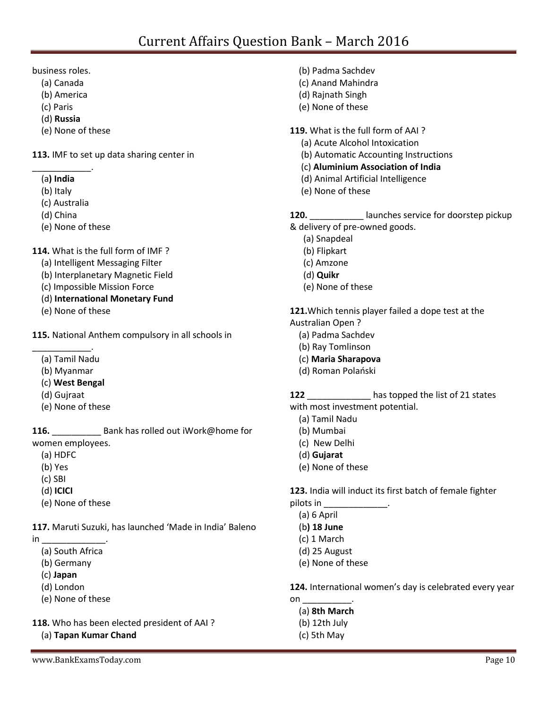business roles.

- (a) Canada
- (b) America
- (c) Paris
- (d) **Russia**
- (e) None of these

**113.** IMF to set up data sharing center in

- \_\_\_\_\_\_\_\_\_\_\_\_. (a**) India**
	- (b) Italy
	- (c) Australia
	- (d) China
	- (e) None of these

**114.** What is the full form of IMF ?

- (a) Intelligent Messaging Filter
- (b) Interplanetary Magnetic Field
- (c) Impossible Mission Force
- (d) **International Monetary Fund**
- (e) None of these

**115.** National Anthem compulsory in all schools in

- \_\_\_\_\_\_\_\_\_\_\_\_. (a) Tamil Nadu
	- (b) Myanmar
	- (c) **West Bengal**
	- (d) Gujraat
	- (e) None of these

**116.** Bank has rolled out iWork@home for women employees.

- (a) HDFC
- (b) Yes
- (c) SBI
- (d) **ICICI**
- (e) None of these

**117.** Maruti Suzuki, has launched 'Made in India' Baleno in \_\_\_\_\_\_\_\_\_\_\_\_\_\_\_\_\_\_\_\_\_.

- - (a) South Africa
	- (b) Germany
	- (c) **Japan**
	- (d) London
	- (e) None of these

**118.** Who has been elected president of AAI ?

(a) **Tapan Kumar Chand**

- (b) Padma Sachdev
- (c) Anand Mahindra
- (d) Rajnath Singh
- (e) None of these

**119.** What is the full form of AAI ?

- (a) Acute Alcohol Intoxication
- (b) Automatic Accounting Instructions
- (c) **Aluminium Association of India**
- (d) Animal Artificial Intelligence
- (e) None of these

120. **120.** launches service for doorstep pickup

- & delivery of pre-owned goods.
	- (a) Snapdeal
	- (b) Flipkart
	- (c) Amzone
	- (d) **Quikr**
	- (e) None of these

**121.**Which tennis player failed a dope test at the Australian Open ?

- (a) Padma Sachdev
- (b) Ray Tomlinson
- (c) **Maria Sharapova**
- (d) Roman Polański
- 

**122** \_\_\_\_\_\_\_\_\_\_\_\_\_ has topped the list of 21 states

- with most investment potential.
	- (a) Tamil Nadu
	- (b) Mumbai
	- (c) New Delhi
	- (d) **Gujarat**
	- (e) None of these

**123.** India will induct its first batch of female fighter pilots in  $\overline{\phantom{a}}$ 

- (a) 6 April
- (b**) 18 June**
- (c) 1 March
- (d) 25 August
- (e) None of these

**124.** International women's day is celebrated every year on \_\_\_\_\_\_\_\_\_\_.

- (a) **8th March**
- (b) 12th July
- (c) 5th May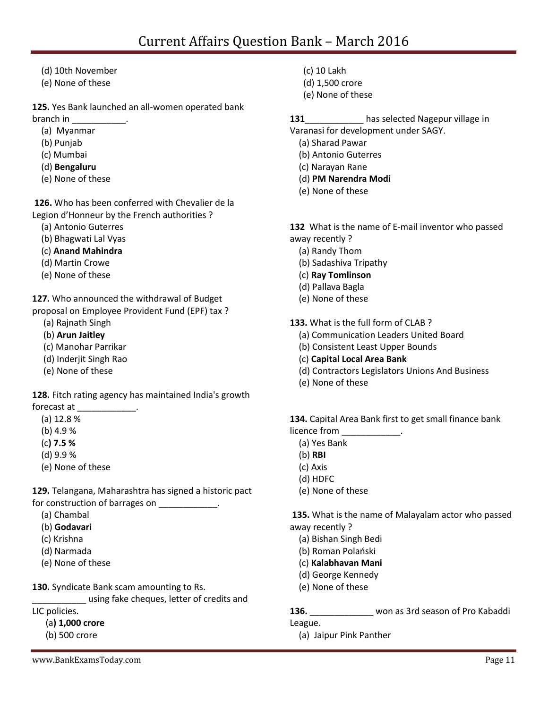- (d) 10th November
- (e) None of these

### **125.** Yes Bank launched an all-women operated bank

branch in \_\_\_\_\_\_\_\_\_\_\_.

- (a) Myanmar
- (b) Punjab
- (c) Mumbai
- (d) **Bengaluru**
- (e) None of these

**126.** Who has been conferred with Chevalier de la Legion d'Honneur by the French authorities ?

- (a) Antonio Guterres
- (b) Bhagwati Lal Vyas
- (c) **Anand Mahindra**
- (d) Martin Crowe
- (e) None of these

**127.** Who announced the withdrawal of Budget

- proposal on Employee Provident Fund (EPF) tax ?
	- (a) Rajnath Singh
	- (b) **Arun Jaitley**
	- (c) Manohar Parrikar
	- (d) Inderjit Singh Rao
	- (e) None of these

**128.** Fitch rating agency has maintained India's growth forecast at

- (a) 12.8 %
- (b) 4.9 %
- (c**) 7.5 %**
- (d) 9.9 %
- (e) None of these

**129.** Telangana, Maharashtra has signed a historic pact for construction of barrages on \_\_\_\_\_\_\_\_\_\_\_\_.

- (a) Chambal
- (b) **Godavari**
- (c) Krishna
- (d) Narmada
- (e) None of these

**130.** Syndicate Bank scam amounting to Rs.

\_\_\_\_\_\_\_\_\_\_\_ using fake cheques, letter of credits and

LIC policies.

- (a**) 1,000 crore**
- (b) 500 crore
- (c) 10 Lakh
- (d) 1,500 crore
- (e) None of these

131 **131** has selected Nagepur village in

- Varanasi for development under SAGY.
	- (a) Sharad Pawar
	- (b) Antonio Guterres
	- (c) Narayan Rane
	- (d) **PM Narendra Modi**
	- (e) None of these

**132** What is the name of E-mail inventor who passed away recently ?

- (a) Randy Thom
- (b) Sadashiva Tripathy
- (c) **Ray Tomlinson**
- (d) Pallava Bagla
- (e) None of these
- **133.** What is the full form of CLAB ?
	- (a) Communication Leaders United Board
	- (b) Consistent Least Upper Bounds
	- (c) **Capital Local Area Bank**
	- (d) Contractors Legislators Unions And Business
	- (e) None of these

**134.** Capital Area Bank first to get small finance bank licence from

- (a) Yes Bank
- (b) **RBI**
- (c) Axis
- (d) HDFC
- (e) None of these

**135.** What is the name of Malayalam actor who passed away recently ?

- (a) Bishan Singh Bedi
- (b) Roman Polański
- (c) **Kalabhavan Mani**
- (d) George Kennedy
- (e) None of these

**136.** \_\_\_\_\_\_\_\_\_\_\_\_\_ won as 3rd season of Pro Kabaddi

- League.
	- (a) Jaipur Pink Panther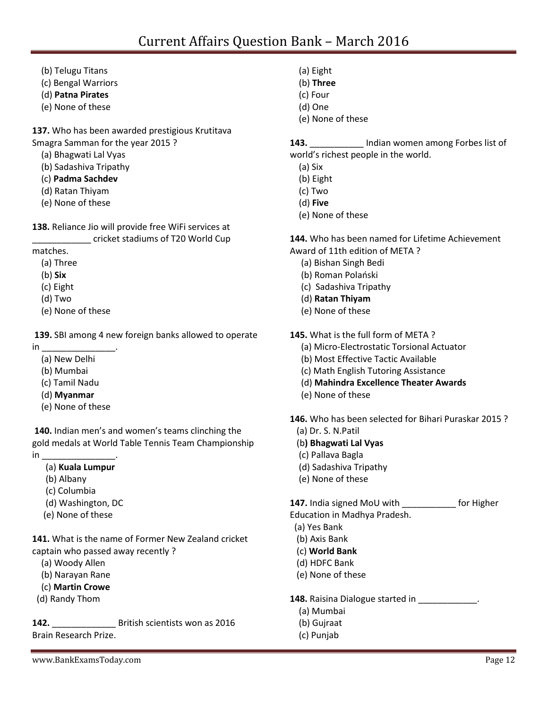- (b) Telugu Titans
- (c) Bengal Warriors
- (d) **Patna Pirates**
- (e) None of these

**137.** Who has been awarded prestigious Krutitava Smagra Samman for the year 2015 ?

- (a) Bhagwati Lal Vyas
- (b) Sadashiva Tripathy
- (c) **Padma Sachdev**
- (d) Ratan Thiyam
- (e) None of these

**138.** Reliance Jio will provide free WiFi services at

\_\_\_\_\_\_\_\_\_\_\_\_ cricket stadiums of T20 World Cup

matches.

- (a) Three
- (b) **Six**
- (c) Eight
- (d) Two
- (e) None of these

**139.** SBI among 4 new foreign banks allowed to operate

 $\mathsf{in}$  and  $\mathsf{in}$  and  $\mathsf{in}$  and  $\mathsf{in}$  and  $\mathsf{in}$  and  $\mathsf{in}$  and  $\mathsf{in}$  and  $\mathsf{in}$  and  $\mathsf{in}$  and  $\mathsf{in}$  and  $\mathsf{in}$  and  $\mathsf{in}$  and  $\mathsf{in}$  and  $\mathsf{in}$  and  $\mathsf{in}$  and  $\mathsf{in}$  and  $\mathsf{in}$  and

- (a) New Delhi
- (b) Mumbai
- (c) Tamil Nadu
- (d) **Myanmar**
- (e) None of these

**140.** Indian men's and women's teams clinching the gold medals at World Table Tennis Team Championship  $in$ 

(a) **Kuala Lumpur**

- (b) Albany
- (c) Columbia
- (d) Washington, DC
- (e) None of these

**141.** What is the name of Former New Zealand cricket captain who passed away recently ?

- (a) Woody Allen
- (b) Narayan Rane
- (c) **Martin Crowe**
- (d) Randy Thom

**142.** \_\_\_\_\_\_\_\_\_\_\_\_\_ British scientists won as 2016 Brain Research Prize.

- (a) Eight
- (b) **Three**
- (c) Four
- (d) One
- (e) None of these

**143.** \_\_\_\_\_\_\_\_\_\_\_ Indian women among Forbes list of world's richest people in the world.

- (a) Six
- (b) Eight
- (c) Two
- (d) **Five**
- (e) None of these

**144.** Who has been named for Lifetime Achievement Award of 11th edition of META ?

- (a) Bishan Singh Bedi
- (b) Roman Polański
- (c) Sadashiva Tripathy
- (d) **Ratan Thiyam**
- (e) None of these
- **145.** What is the full form of META ?
	- (a) Micro-Electrostatic Torsional Actuator
	- (b) Most Effective Tactic Available
	- (c) Math English Tutoring Assistance
	- (d) **Mahindra Excellence Theater Awards**
	- (e) None of these

**146.** Who has been selected for Bihari Puraskar 2015 ?

- (a) Dr. S. N.Patil
- (b**) Bhagwati Lal Vyas**
- (c) Pallava Bagla
- (d) Sadashiva Tripathy
- (e) None of these

**147.** India signed MoU with \_\_\_\_\_\_\_\_\_\_\_ for Higher

Education in Madhya Pradesh.

- (a) Yes Bank
- (b) Axis Bank
- (c) **World Bank**
- (d) HDFC Bank
- (e) None of these

**148.** Raisina Dialogue started in \_\_\_\_\_\_\_\_\_\_\_\_.

- (a) Mumbai
- (b) Gujraat
- (c) Punjab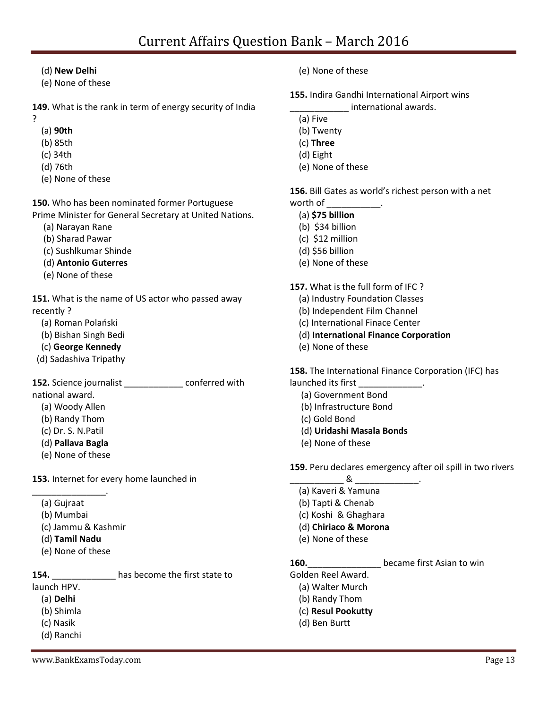### (d) **New Delhi**

(e) None of these

**149.** What is the rank in term of energy security of India

- ?
- (a) **90th**
- (b) 85th
- (c) 34th
- (d) 76th
- (e) None of these

**150.** Who has been nominated former Portuguese Prime Minister for General Secretary at United Nations.

- (a) Narayan Rane
- (b) Sharad Pawar
- (c) Sushlkumar Shinde
- (d) **Antonio Guterres**
- (e) None of these

**151.** What is the name of US actor who passed away recently ?

- (a) Roman Polański
- (b) Bishan Singh Bedi
- (c) **George Kennedy**
- (d) Sadashiva Tripathy

**152.** Science journalist conferred with

national award.

- (a) Woody Allen
- (b) Randy Thom
- (c) Dr. S. N.Patil
- (d) **Pallava Bagla**
- (e) None of these

**153.** Internet for every home launched in

- \_\_\_\_\_\_\_\_\_\_\_\_\_\_\_. (a) Gujraat
	- (b) Mumbai
	- (c) Jammu & Kashmir
	- (d) **Tamil Nadu**
	- (e) None of these

**154.** \_\_\_\_\_\_\_\_\_\_\_\_\_ has become the first state to

- launch HPV.
	- (a) **Delhi** (b) Shimla
	- (c) Nasik
	- (d) Ranchi
	-
- (e) None of these
- **155.** Indira Gandhi International Airport wins
	- \_\_\_\_\_\_\_\_\_\_\_\_ international awards.
	- (a) Five
	- (b) Twenty
	- (c) **Three**
	- (d) Eight
	- (e) None of these

**156.** Bill Gates as world's richest person with a net worth of \_\_\_\_\_\_\_\_\_\_\_.

- (a) **\$75 billion**
- (b) \$34 billion
- (c) \$12 million
- (d) \$56 billion
- (e) None of these

**157.** What is the full form of IFC ?

- (a) Industry Foundation Classes
- (b) Independent Film Channel
- (c) International Finace Center
- (d) **International Finance Corporation**
- (e) None of these

**158.** The International Finance Corporation (IFC) has launched its first

- (a) Government Bond
- (b) Infrastructure Bond
- (c) Gold Bond
- (d) **Uridashi Masala Bonds**
- (e) None of these

**159.** Peru declares emergency after oil spill in two rivers

- $\alpha$ (a) Kaveri & Yamuna
- (b) Tapti & Chenab
- (c) Koshi & Ghaghara
- (d) **Chiriaco & Morona**
- (e) None of these

### **160. 160. hecame first Asian to win**

Golden Reel Award.

- (a) Walter Murch
- (b) Randy Thom
- (c) **Resul Pookutty**
- (d) Ben Burtt